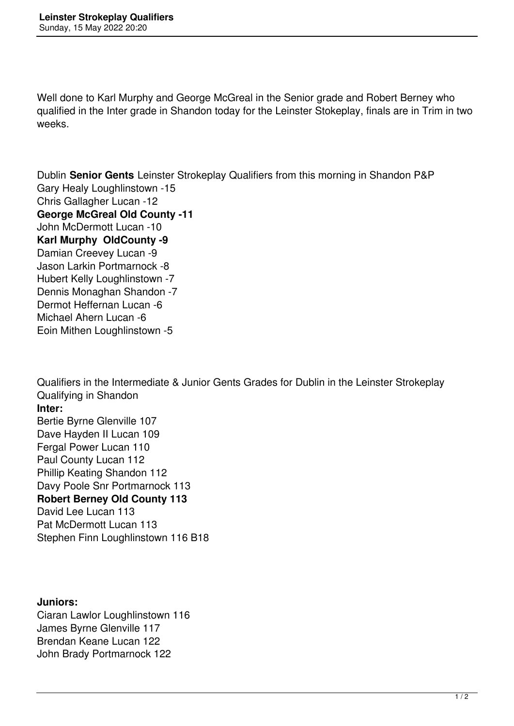Well done to Karl Murphy and George McGreal in the Senior grade and Robert Berney who qualified in the Inter grade in Shandon today for the Leinster Stokeplay, finals are in Trim in two weeks.

Dublin **Senior Gents** Leinster Strokeplay Qualifiers from this morning in Shandon P&P Gary Healy Loughlinstown -15 Chris Gallagher Lucan -12 **George McGreal Old County -11** John McDermott Lucan -10 **Karl Murphy OldCounty -9** Damian Creevey Lucan -9 Jason Larkin Portmarnock -8 Hubert Kelly Loughlinstown -7 Dennis Monaghan Shandon -7 Dermot Heffernan Lucan -6 Michael Ahern Lucan -6 Eoin Mithen Loughlinstown -5

Qualifiers in the Intermediate & Junior Gents Grades for Dublin in the Leinster Strokeplay Qualifying in Shandon **Inter:** Bertie Byrne Glenville 107 Dave Hayden II Lucan 109 Fergal Power Lucan 110 Paul County Lucan 112 Phillip Keating Shandon 112 Davy Poole Snr Portmarnock 113 **Robert Berney Old County 113** David Lee Lucan 113 Pat McDermott Lucan 113 Stephen Finn Loughlinstown 116 B18

## **Juniors:**

Ciaran Lawlor Loughlinstown 116 James Byrne Glenville 117 Brendan Keane Lucan 122 John Brady Portmarnock 122